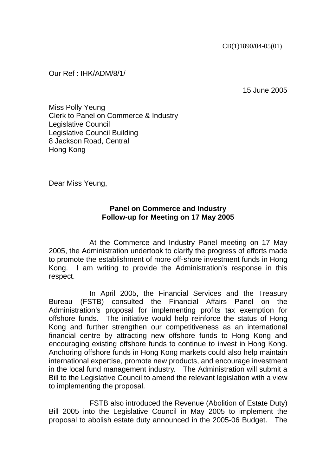Our Ref : IHK/ADM/8/1/

15 June 2005

Miss Polly Yeung Clerk to Panel on Commerce & Industry Legislative Council Legislative Council Building 8 Jackson Road, Central Hong Kong

Dear Miss Yeung,

## **Panel on Commerce and Industry Follow-up for Meeting on 17 May 2005**

 At the Commerce and Industry Panel meeting on 17 May 2005, the Administration undertook to clarify the progress of efforts made to promote the establishment of more off-shore investment funds in Hong Kong. I am writing to provide the Administration's response in this respect.

 In April 2005, the Financial Services and the Treasury Bureau (FSTB) consulted the Financial Affairs Panel on the Administration's proposal for implementing profits tax exemption for offshore funds. The initiative would help reinforce the status of Hong Kong and further strengthen our competitiveness as an international financial centre by attracting new offshore funds to Hong Kong and encouraging existing offshore funds to continue to invest in Hong Kong. Anchoring offshore funds in Hong Kong markets could also help maintain international expertise, promote new products, and encourage investment in the local fund management industry. The Administration will submit a Bill to the Legislative Council to amend the relevant legislation with a view to implementing the proposal.

 FSTB also introduced the Revenue (Abolition of Estate Duty) Bill 2005 into the Legislative Council in May 2005 to implement the proposal to abolish estate duty announced in the 2005-06 Budget. The